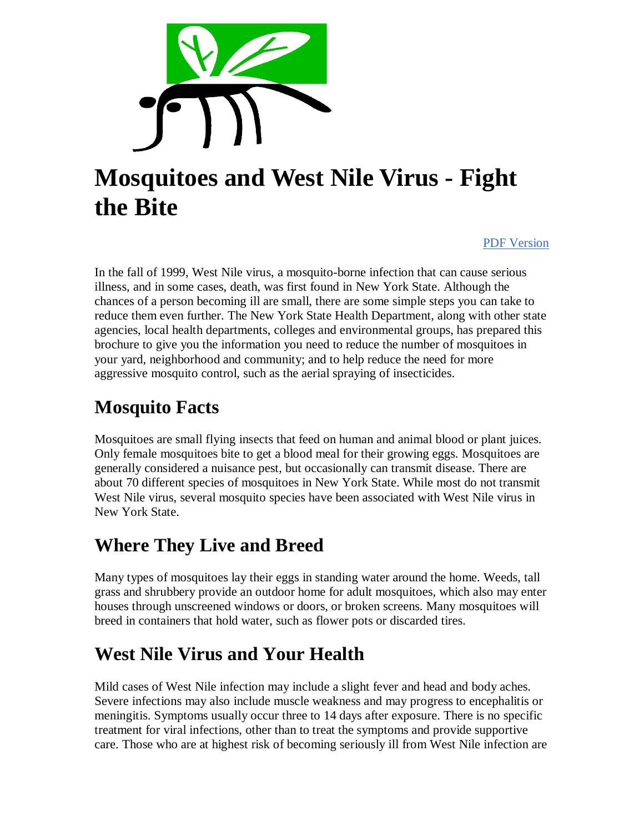

# **Mosquitoes and West Nile Virus - Fight the Bite**

PDF Version

In the fall of 1999, West Nile virus, a mosquito-borne infection that can cause serious illness, and in some cases, death, was first found in New York State. Although the chances of a person becoming ill are small, there are some simple steps you can take to reduce them even further. The New York State Health Department, along with other state agencies, local health departments, colleges and environmental groups, has prepared this brochure to give you the information you need to reduce the number of mosquitoes in your yard, neighborhood and community; and to help reduce the need for more aggressive mosquito control, such as the aerial spraying of insecticides.

#### **Mosquito Facts**

Mosquitoes are small flying insects that feed on human and animal blood or plant juices. Only female mosquitoes bite to get a blood meal for their growing eggs. Mosquitoes are generally considered a nuisance pest, but occasionally can transmit disease. There are about 70 different species of mosquitoes in New York State. While most do not transmit West Nile virus, several mosquito species have been associated with West Nile virus in New York State.

#### **Where They Live and Breed**

Many types of mosquitoes lay their eggs in standing water around the home. Weeds, tall grass and shrubbery provide an outdoor home for adult mosquitoes, which also may enter houses through unscreened windows or doors, or broken screens. Many mosquitoes will breed in containers that hold water, such as flower pots or discarded tires.

# **West Nile Virus and Your Health**

Mild cases of West Nile infection may include a slight fever and head and body aches. Severe infections may also include muscle weakness and may progress to encephalitis or meningitis. Symptoms usually occur three to 14 days after exposure. There is no specific treatment for viral infections, other than to treat the symptoms and provide supportive care. Those who are at highest risk of becoming seriously ill from West Nile infection are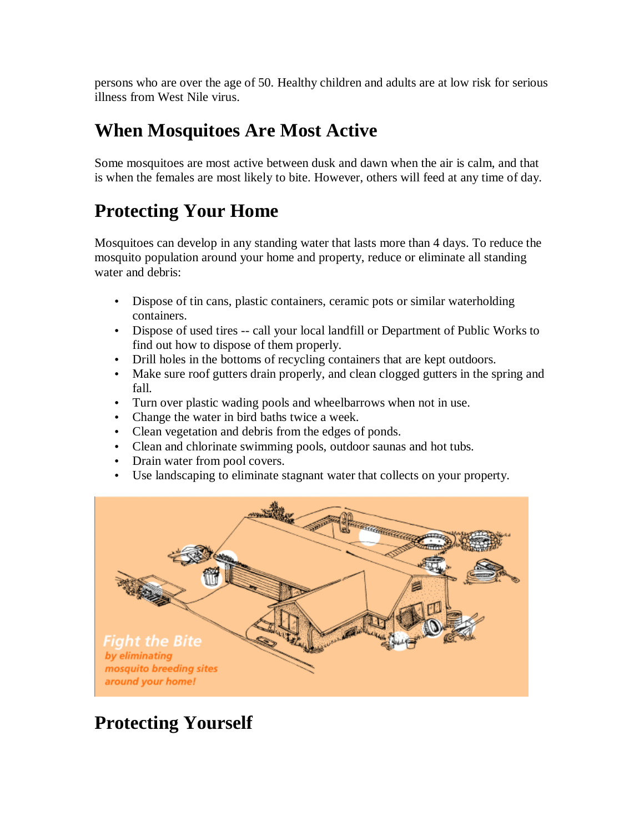persons who are over the age of 50. Healthy children and adults are at low risk for serious illness from West Nile virus.

#### **When Mosquitoes Are Most Active**

Some mosquitoes are most active between dusk and dawn when the air is calm, and that is when the females are most likely to bite. However, others will feed at any time of day.

## **Protecting Your Home**

Mosquitoes can develop in any standing water that lasts more than 4 days. To reduce the mosquito population around your home and property, reduce or eliminate all standing water and debris:

- Dispose of tin cans, plastic containers, ceramic pots or similar waterholding containers.
- Dispose of used tires -- call your local landfill or Department of Public Works to find out how to dispose of them properly.
- Drill holes in the bottoms of recycling containers that are kept outdoors.
- Make sure roof gutters drain properly, and clean clogged gutters in the spring and fall.
- Turn over plastic wading pools and wheelbarrows when not in use.
- Change the water in bird baths twice a week.
- Clean vegetation and debris from the edges of ponds.
- Clean and chlorinate swimming pools, outdoor saunas and hot tubs.
- Drain water from pool covers.
- Use landscaping to eliminate stagnant water that collects on your property.



# **Protecting Yourself**